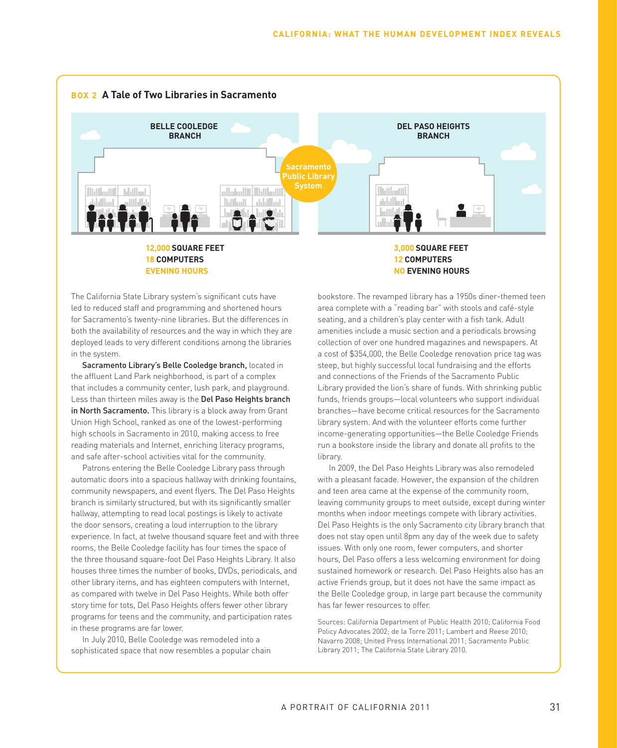

The California State Library system's significant cuts have led to reduced staff and programming and shortened hours for Sacramento's twenty-nine libraries. But the differences in both the availability of resources and the way in which they are deployed leads to very different conditions among the libraries in the system.

Sacramento Library's Belle Cooledge branch, located in the affluent Land Park neighborhood, is part of a complex that includes a community center, lush park, and playground. Less than thirteen miles away is the Del Paso Heights branch in North Sacramento. This library is a block away from Grant Union High School, ranked as one of the lowest-performing high schools in Sacramento in 2010, making access to free reading materials and Internet, enriching literacy programs, and safe after-school activities vital for the community.

Patrons entering the Belle Cooledge Library pass through automatic doors into a spacious hallway with drinking fountains, community newspapers, and event flyers. The Del Paso Heights branch is similarly structured, but with its significantly smaller hallway, attempting to read local postings is likely to activate the door sensors, creating a loud interruption to the library experience. In fact, at twelve thousand square feet and with three rooms, the Belle Cooledge facility has four times the space of the three thousand square-foot Del Paso Heights Library. It also houses three times the number of books, DVDs, periodicals, and other library items, and has eighteen computers with Internet, as compared with twelve in Del Paso Heights. While both offer story time for tots, Del Paso Heights offers fewer other library programs for teens and the community, and participation rates in these programs are far lower.

In July 2010, Belle Cooledge was remodeled into a sophisticated space that now resembles a popular chain

bookstore. The revamped library has a 1950s diner-themed teen area complete with a "reading bar" with stools and café-style seating, and a children's play center with a fish tank. Adult amenities include a music section and a periodicals browsing collection of over one hundred magazines and newspapers. At a cost of \$354,000, the Belle Cooledge renovation price tag was steep, but highly successful local fundraising and the efforts and connections of the Friends of the Sacramento Public Library provided the lion's share of funds. With shrinking public funds, friends groups—local volunteers who support individual branches—have become critical resources for the Sacramento library system. And with the volunteer efforts come further income-generating opportunities—the Belle Cooledge Friends run a bookstore inside the library and donate all profits to the library.

In 2009, the Del Paso Heights Library was also remodeled with a pleasant facade. However, the expansion of the children and teen area came at the expense of the community room, leaving community groups to meet outside, except during winter months when indoor meetings compete with library activities. Del Paso Heights is the only Sacramento city library branch that does not stay open until 8pm any day of the week due to safety issues. With only one room, fewer computers, and shorter hours, Del Paso offers a less welcoming environment for doing sustained homework or research. Del Paso Heights also has an active Friends group, but it does not have the same impact as the Belle Cooledge group, in large part because the community has far fewer resources to offer.

Sources: California Department of Public Health 2010; California Food Policy Advocates 2002; de la Torre 2011; Lambert and Reese 2010; Navarro 2008; United Press International 2011; Sacramento Public Library 2011; The California State Library 2010.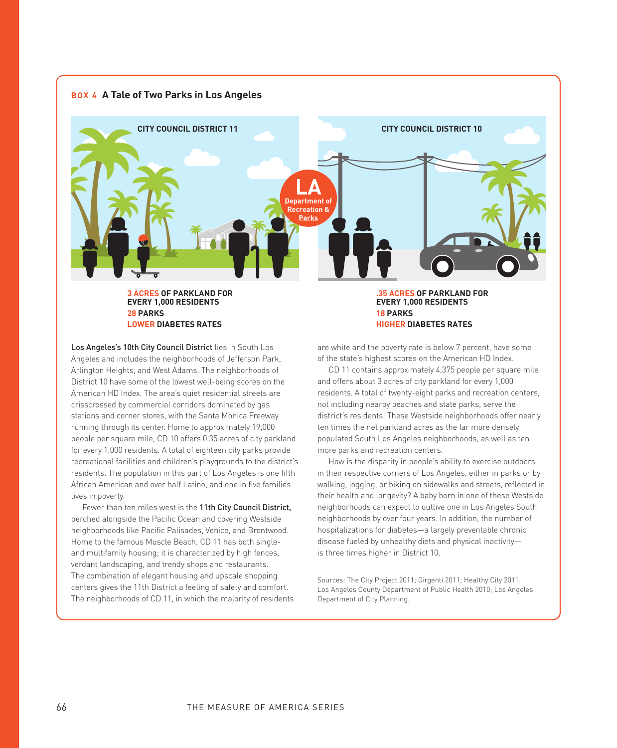

**EVERY 1,000 RESIDENTS 28 PARKS LOWER DIABETES RATES**

**HIGHER DIABETES RATES** are white and the poverty rate is below 7 percent, have some of the state's highest scores on the American HD Index.

**18 PARKS**

Los Angeles's 10th City Council District lies in South Los Angeles and includes the neighborhoods of Jefferson Park, Arlington Heights, and West Adams. The neighborhoods of District 10 have some of the lowest well-being scores on the American HD Index. The area's quiet residential streets are crisscrossed by commercial corridors dominated by gas stations and corner stores, with the Santa Monica Freeway running through its center. Home to approximately 19,000 people per square mile, CD 10 offers 0.35 acres of city parkland for every 1,000 residents. A total of eighteen city parks provide recreational facilities and children's playgrounds to the district's residents. The population in this part of Los Angeles is one fifth African American and over half Latino, and one in five families lives in poverty.

Fewer than ten miles west is the 11th City Council District, perched alongside the Pacific Ocean and covering Westside neighborhoods like Pacific Palisades, Venice, and Brentwood. Home to the famous Muscle Beach, CD 11 has both singleand multifamily housing; it is characterized by high fences, verdant landscaping, and trendy shops and restaurants. The combination of elegant housing and upscale shopping centers gives the 11th District a feeling of safety and comfort. The neighborhoods of CD 11, in which the majority of residents

CD 11 contains approximately 4,375 people per square mile and offers about 3 acres of city parkland for every 1,000 residents. A total of twenty-eight parks and recreation centers, not including nearby beaches and state parks, serve the district's residents. These Westside neighborhoods offer nearly ten times the net parkland acres as the far more densely populated South Los Angeles neighborhoods, as well as ten more parks and recreation centers.

How is the disparity in people's ability to exercise outdoors in their respective corners of Los Angeles, either in parks or by walking, jogging, or biking on sidewalks and streets, reflected in their health and longevity? A baby born in one of these Westside neighborhoods can expect to outlive one in Los Angeles South neighborhoods by over four years. In addition, the number of hospitalizations for diabetes—a largely preventable chronic disease fueled by unhealthy diets and physical inactivity is three times higher in District 10.

Sources: The City Project 2011; Girgenti 2011; Healthy City 2011; Los Angeles County Department of Public Health 2010; Los Angeles Department of City Planning.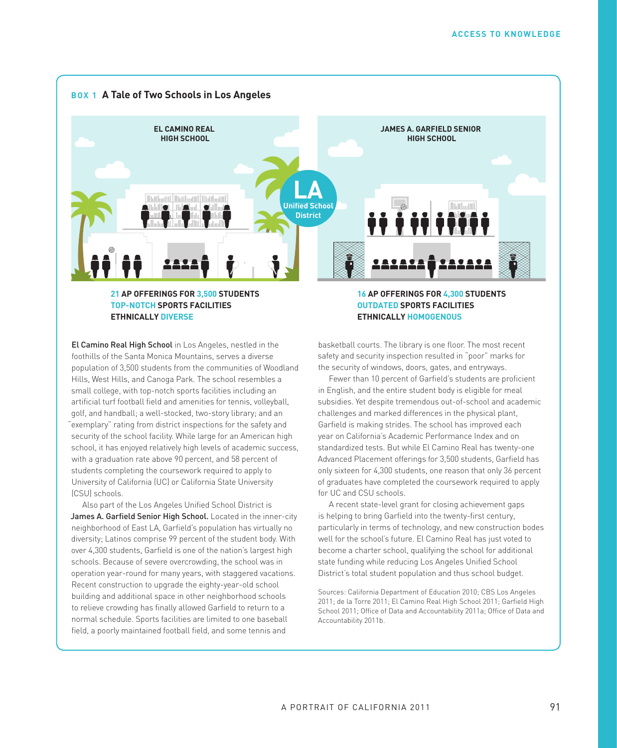

**TOP-NOTCH SPORTS FACILITIES ETHNICALLY DIVERSE**

**16 AP OFFERINGS FOR 4,300 STUDENTS OUTDATED SPORTS FACILITIES ETHNICALLY HOMOGENOUS**

El Camino Real High School in Los Angeles, nestled in the foothills of the Santa Monica Mountains, serves a diverse population of 3,500 students from the communities of Woodland Hills, West Hills, and Canoga Park. The school resembles a small college, with top-notch sports facilities including an artificial turf football field and amenities for tennis, volleyball, golf, and handball; a well-stocked, two-story library; and an "exemplary" rating from district inspections for the safety and security of the school facility. While large for an American high school, it has enjoyed relatively high levels of academic success, with a graduation rate above 90 percent, and 58 percent of students completing the coursework required to apply to University of California (UC) or California State University (CSU) schools.

Also part of the Los Angeles Unified School District is James A. Garfield Senior High School. Located in the inner-city neighborhood of East LA, Garfield's population has virtually no diversity; Latinos comprise 99 percent of the student body. With over 4,300 students, Garfield is one of the nation's largest high schools. Because of severe overcrowding, the school was in operation year-round for many years, with staggered vacations. Recent construction to upgrade the eighty-year-old school building and additional space in other neighborhood schools to relieve crowding has finally allowed Garfield to return to a normal schedule. Sports facilities are limited to one baseball field, a poorly maintained football field, and some tennis and

basketball courts. The library is one floor. The most recent safety and security inspection resulted in "poor" marks for the security of windows, doors, gates, and entryways.

Fewer than 10 percent of Garfield's students are proficient in English, and the entire student body is eligible for meal subsidies. Yet despite tremendous out-of-school and academic challenges and marked differences in the physical plant, Garfield is making strides. The school has improved each year on California's Academic Performance Index and on standardized tests. But while El Camino Real has twenty-one Advanced Placement offerings for 3,500 students, Garfield has only sixteen for 4,300 students, one reason that only 36 percent of graduates have completed the coursework required to apply for UC and CSU schools.

A recent state-level grant for closing achievement gaps is helping to bring Garfield into the twenty-first century, particularly in terms of technology, and new construction bodes well for the school's future. El Camino Real has just voted to become a charter school, qualifying the school for additional state funding while reducing Los Angeles Unified School District's total student population and thus school budget.

Sources: California Department of Education 2010; CBS Los Angeles 2011; de la Torre 2011; El Camino Real High School 2011; Garfield High School 2011; Office of Data and Accountability 2011a; Office of Data and Accountability 2011b.